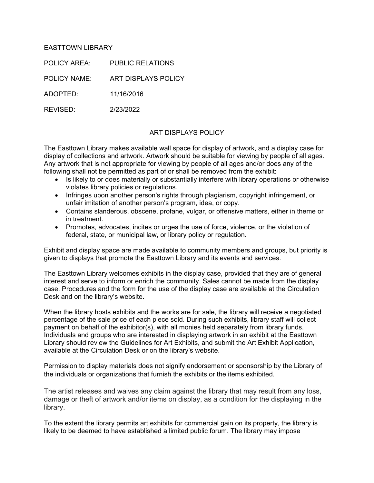## EASTTOWN LIBRARY

POLICY AREA: PUBLIC RELATIONS POLICY NAME: ART DISPLAYS POLICY ADOPTED: 11/16/2016 REVISED: 2/23/2022

## ART DISPLAYS POLICY

The Easttown Library makes available wall space for display of artwork, and a display case for display of collections and artwork. Artwork should be suitable for viewing by people of all ages. Any artwork that is not appropriate for viewing by people of all ages and/or does any of the following shall not be permitted as part of or shall be removed from the exhibit:

- Is likely to or does materially or substantially interfere with library operations or otherwise violates library policies or regulations.
- Infringes upon another person's rights through plagiarism, copyright infringement, or unfair imitation of another person's program, idea, or copy.
- Contains slanderous, obscene, profane, vulgar, or offensive matters, either in theme or in treatment.
- Promotes, advocates, incites or urges the use of force, violence, or the violation of federal, state, or municipal law, or library policy or regulation.

Exhibit and display space are made available to community members and groups, but priority is given to displays that promote the Easttown Library and its events and services.

The Easttown Library welcomes exhibits in the display case, provided that they are of general interest and serve to inform or enrich the community. Sales cannot be made from the display case. Procedures and the form for the use of the display case are available at the Circulation Desk and on the library's website.

When the library hosts exhibits and the works are for sale, the library will receive a negotiated percentage of the sale price of each piece sold. During such exhibits, library staff will collect payment on behalf of the exhibitor(s), with all monies held separately from library funds. Individuals and groups who are interested in displaying artwork in an exhibit at the Easttown Library should review the Guidelines for Art Exhibits, and submit the Art Exhibit Application, available at the Circulation Desk or on the library's website.

Permission to display materials does not signify endorsement or sponsorship by the Library of the individuals or organizations that furnish the exhibits or the items exhibited.

The artist releases and waives any claim against the library that may result from any loss, damage or theft of artwork and/or items on display, as a condition for the displaying in the library.

To the extent the library permits art exhibits for commercial gain on its property, the library is likely to be deemed to have established a limited public forum. The library may impose